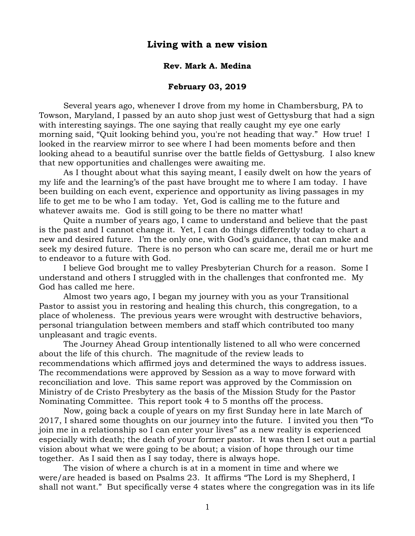## **Living with a new vision**

### **Rev. Mark A. Medina**

## **February 03, 2019**

Several years ago, whenever I drove from my home in Chambersburg, PA to Towson, Maryland, I passed by an auto shop just west of Gettysburg that had a sign with interesting sayings. The one saying that really caught my eye one early morning said, "Quit looking behind you, you're not [heading](http://www.searchquotes.com/quotation/Quit_looking_behind_you%25252C_you%252527re_not_heading_that_way./701734/) that way." How true! I looked in the rearview mirror to see where I had been moments before and then looking ahead to a beautiful sunrise over the battle fields of Gettysburg. I also knew that new opportunities and challenges were awaiting me.

As I thought about what this saying meant, I easily dwelt on how the years of my life and the learning's of the past have brought me to where I am today. I have been building on each event, experience and opportunity as living passages in my life to get me to be who I am today. Yet, God is calling me to the future and whatever awaits me. God is still going to be there no matter what!

Quite a number of years ago, I came to understand and believe that the past is the past and I cannot change it. Yet, I can do things differently today to chart a new and desired future. I'm the only one, with God's guidance, that can make and seek my desired future. There is no person who can scare me, derail me or hurt me to endeavor to a future with God.

I believe God brought me to valley Presbyterian Church for a reason. Some I understand and others I struggled with in the challenges that confronted me. My God has called me here.

Almost two years ago, I began my journey with you as your Transitional Pastor to assist you in restoring and healing this church, this congregation, to a place of wholeness. The previous years were wrought with destructive behaviors, personal triangulation between members and staff which contributed too many unpleasant and tragic events.

The Journey Ahead Group intentionally listened to all who were concerned about the life of this church. The magnitude of the review leads to recommendations which affirmed joys and determined the ways to address issues. The recommendations were approved by Session as a way to move forward with reconciliation and love. This same report was approved by the Commission on Ministry of de Cristo Presbytery as the basis of the Mission Study for the Pastor Nominating Committee. This report took 4 to 5 months off the process.

Now, going back a couple of years on my first Sunday here in late March of 2017, I shared some thoughts on our journey into the future. I invited you then "To join me in a relationship so I can enter your lives" as a new reality is experienced especially with death; the death of your former pastor. It was then I set out a partial vision about what we were going to be about; a vision of hope through our time together. As I said then as I say today, there is always hope.

The vision of where a church is at in a moment in time and where we were/are headed is based on Psalms 23. It affirms "The Lord is my Shepherd, I shall not want." But specifically verse 4 states where the congregation was in its life

1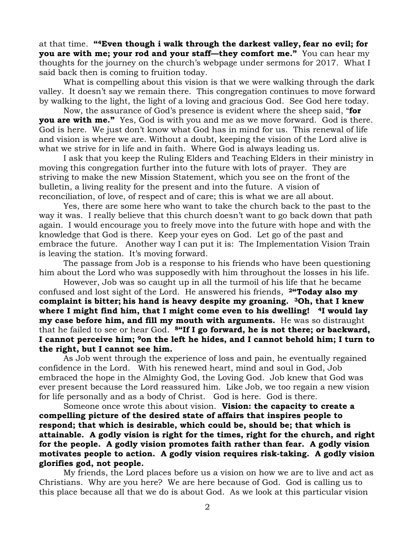at that time. **"4Even though i walk through the darkest valley, fear no evil; for you are with me; your rod and your staff—they comfort me."** You can hear my thoughts for the journey on the church's webpage under sermons for 2017. What I said back then is coming to fruition today.

What is compelling about this vision is that we were walking through the dark valley. It doesn't say we remain there. This congregation continues to move forward by walking to the light, the light of a loving and gracious God. See God here today.

Now, the assurance of God's presence is evident where the sheep said, "**for you are with me."** Yes, God is with you and me as we move forward. God is there. God is here. We just don't know what God has in mind for us. This renewal of life and vision is where we are. Without a doubt, keeping the vision of the Lord alive is what we strive for in life and in faith. Where God is always leading us.

I ask that you keep the Ruling Elders and Teaching Elders in their ministry in moving this congregation further into the future with lots of prayer. They are striving to make the new Mission Statement, which you see on the front of the bulletin, a living reality for the present and into the future. A vision of reconciliation, of love, of respect and of care; this is what we are all about.

Yes, there are some here who want to take the church back to the past to the way it was. I really believe that this church doesn't want to go back down that path again. I would encourage you to freely move into the future with hope and with the knowledge that God is there. Keep your eyes on God. Let go of the past and embrace the future. Another way I can put it is: The Implementation Vision Train is leaving the station. It's moving forward.

The passage from Job is a response to his friends who have been questioning him about the Lord who was supposedly with him throughout the losses in his life.

However, Job was so caught up in all the turmoil of his life that he became confused and lost sight of the Lord. He answered his friends, **2"Today also my complaint is bitter; his hand is heavy despite my groaning. 3Oh, that I knew where I might find him, that I might come even to his dwelling! 4I would lay my case before him, and fill my mouth with arguments.** He was so distraught that he failed to see or hear God. **8"If I go forward, he is not there; or backward, I cannot perceive him; 9on the left he hides, and I cannot behold him; I turn to the right, but I cannot see him.**

As Job went through the experience of loss and pain, he eventually regained confidence in the Lord. With his renewed heart, mind and soul in God, Job embraced the hope in the Almighty God, the Loving God. Job knew that God was ever present because the Lord reassured him. Like Job, we too regain a new vision for life personally and as a body of Christ. God is here. God is there.

Someone once wrote this about vision. **Vision: the capacity to create a compelling picture of the desired state of affairs that inspires people to respond; that which is desirable, which could be, should be; that which is attainable. A godly vision is right for the times, right for the church, and right for the people. A godly vision promotes faith rather than fear. A godly vision motivates people to action. A godly vision requires risk-taking. A godly vision glorifies god, not people.**

My friends, the Lord places before us a vision on how we are to live and act as Christians. Why are you here? We are here because of God. God is calling us to this place because all that we do is about God. As we look at this particular vision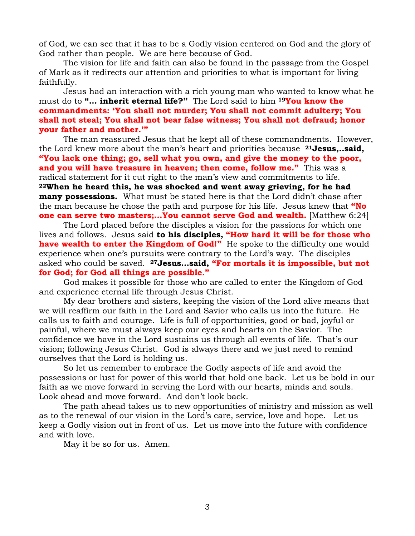of God, we can see that it has to be a Godly vision centered on God and the glory of God rather than people. We are here because of God.

The vision for life and faith can also be found in the passage from the Gospel of Mark as it redirects our attention and priorities to what is important for living faithfully.

Jesus had an interaction with a rich young man who wanted to know what he must do to **"… inherit eternal life?"** The Lord said to him **19You know the commandments: 'You shall not murder; You shall not commit adultery; You shall not steal; You shall not bear false witness; You shall not defraud; honor your father and mother.'"**

The man reassured Jesus that he kept all of these commandments. However, the Lord knew more about the man's heart and priorities because **21Jesus,..said, "You lack one thing; go, sell what you own, and give the money to the poor, and you will have treasure in heaven; then come, follow me."** This was a radical statement for it cut right to the man's view and commitments to life. **22When he heard this, he was shocked and went away grieving, for he had many possessions.** What must be stated here is that the Lord didn't chase after the man because he chose the path and purpose for his life. Jesus knew that **"No one can serve two masters;…You cannot serve God and wealth.** [Matthew 6:24]

The Lord placed before the disciples a vision for the passions for which one lives and follows. Jesus said **to his disciples, "How hard it will be for those who have wealth to enter the Kingdom of God!"** He spoke to the difficulty one would experience when one's pursuits were contrary to the Lord's way. The disciples asked who could be saved. **27Jesus…said, "For mortals it is impossible, but not for God; for God all things are possible."**

God makes it possible for those who are called to enter the Kingdom of God and experience eternal life through Jesus Christ.

My dear brothers and sisters, keeping the vision of the Lord alive means that we will reaffirm our faith in the Lord and Savior who calls us into the future. He calls us to faith and courage. Life is full of opportunities, good or bad, joyful or painful, where we must always keep our eyes and hearts on the Savior. The confidence we have in the Lord sustains us through all events of life. That's our vision; following Jesus Christ. God is always there and we just need to remind ourselves that the Lord is holding us.

So let us remember to embrace the Godly aspects of life and avoid the possessions or lust for power of this world that hold one back. Let us be bold in our faith as we move forward in serving the Lord with our hearts, minds and souls. Look ahead and move forward. And don't look back.

The path ahead takes us to new opportunities of ministry and mission as well as to the renewal of our vision in the Lord's care, service, love and hope. Let us keep a Godly vision out in front of us. Let us move into the future with confidence and with love.

May it be so for us. Amen.